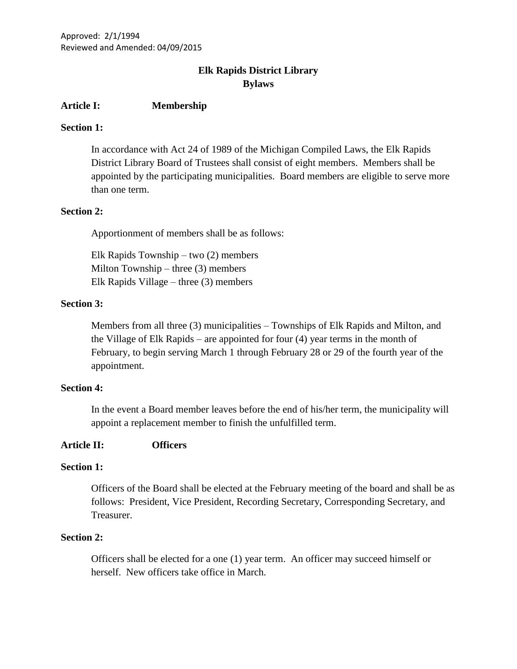# **Elk Rapids District Library Bylaws**

# **Article I: Membership**

# **Section 1:**

In accordance with Act 24 of 1989 of the Michigan Compiled Laws, the Elk Rapids District Library Board of Trustees shall consist of eight members. Members shall be appointed by the participating municipalities. Board members are eligible to serve more than one term.

# **Section 2:**

Apportionment of members shall be as follows:

Elk Rapids Township – two (2) members Milton Township – three  $(3)$  members Elk Rapids Village – three (3) members

# **Section 3:**

Members from all three (3) municipalities – Townships of Elk Rapids and Milton, and the Village of Elk Rapids – are appointed for four (4) year terms in the month of February, to begin serving March 1 through February 28 or 29 of the fourth year of the appointment.

# **Section 4:**

In the event a Board member leaves before the end of his/her term, the municipality will appoint a replacement member to finish the unfulfilled term.

# **Article II: Officers**

# **Section 1:**

Officers of the Board shall be elected at the February meeting of the board and shall be as follows: President, Vice President, Recording Secretary, Corresponding Secretary, and Treasurer.

# **Section 2:**

Officers shall be elected for a one (1) year term. An officer may succeed himself or herself. New officers take office in March.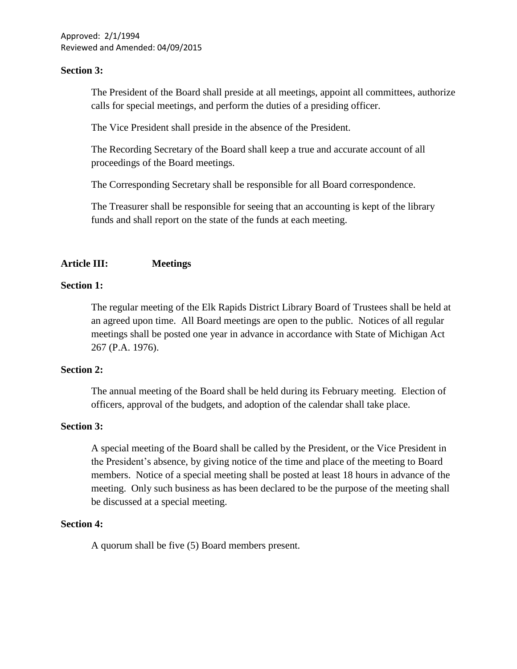Approved: 2/1/1994 Reviewed and Amended: 04/09/2015

# **Section 3:**

The President of the Board shall preside at all meetings, appoint all committees, authorize calls for special meetings, and perform the duties of a presiding officer.

The Vice President shall preside in the absence of the President.

The Recording Secretary of the Board shall keep a true and accurate account of all proceedings of the Board meetings.

The Corresponding Secretary shall be responsible for all Board correspondence.

The Treasurer shall be responsible for seeing that an accounting is kept of the library funds and shall report on the state of the funds at each meeting.

# **Article III: Meetings**

### **Section 1:**

The regular meeting of the Elk Rapids District Library Board of Trustees shall be held at an agreed upon time. All Board meetings are open to the public. Notices of all regular meetings shall be posted one year in advance in accordance with State of Michigan Act 267 (P.A. 1976).

#### **Section 2:**

The annual meeting of the Board shall be held during its February meeting. Election of officers, approval of the budgets, and adoption of the calendar shall take place.

#### **Section 3:**

A special meeting of the Board shall be called by the President, or the Vice President in the President's absence, by giving notice of the time and place of the meeting to Board members. Notice of a special meeting shall be posted at least 18 hours in advance of the meeting. Only such business as has been declared to be the purpose of the meeting shall be discussed at a special meeting.

#### **Section 4:**

A quorum shall be five (5) Board members present.